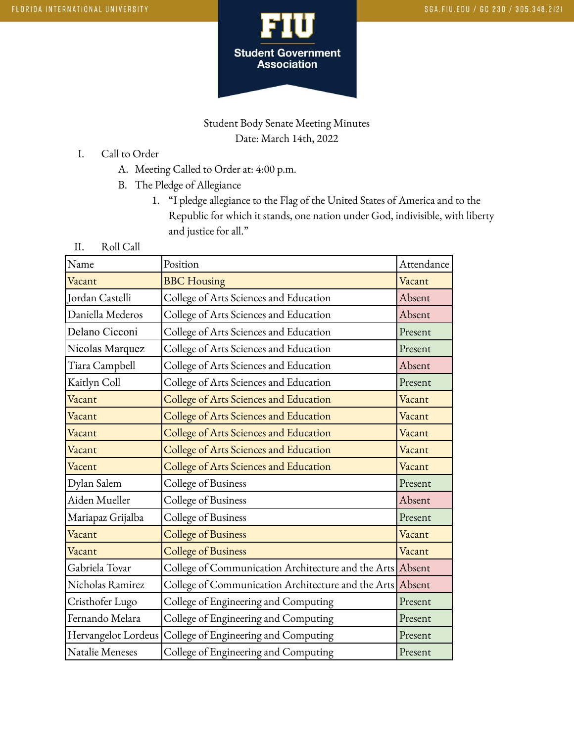

## Student Body Senate Meeting Minutes Date: March 14th, 2022

- I. Call to Order
	- A. Meeting Called to Order at: 4:00 p.m.
	- B. The Pledge of Allegiance
		- 1. "I pledge allegiance to the Flag of the United States of America and to the Republic for which it stands, one nation under God, indivisible, with liberty and justice for all."
- II. Roll Call

| Name                   | Position                                                  | Attendance |
|------------------------|-----------------------------------------------------------|------------|
| Vacant                 | <b>BBC</b> Housing                                        | Vacant     |
| Jordan Castelli        | College of Arts Sciences and Education                    | Absent     |
| Daniella Mederos       | College of Arts Sciences and Education                    | Absent     |
| Delano Cicconi         | College of Arts Sciences and Education                    | Present    |
| Nicolas Marquez        | College of Arts Sciences and Education                    | Present    |
| Tiara Campbell         | College of Arts Sciences and Education                    | Absent     |
| Kaitlyn Coll           | College of Arts Sciences and Education                    | Present    |
| Vacant                 | College of Arts Sciences and Education                    | Vacant     |
| Vacant                 | College of Arts Sciences and Education                    | Vacant     |
| Vacant                 | College of Arts Sciences and Education                    | Vacant     |
| Vacant                 | College of Arts Sciences and Education                    | Vacant     |
| Vacent                 | College of Arts Sciences and Education                    | Vacant     |
| Dylan Salem            | College of Business                                       | Present    |
| Aiden Mueller          | College of Business                                       | Absent     |
| Mariapaz Grijalba      | College of Business                                       | Present    |
| Vacant                 | <b>College of Business</b>                                | Vacant     |
| Vacant                 | <b>College of Business</b>                                | Vacant     |
| Gabriela Tovar         | College of Communication Architecture and the Arts Absent |            |
| Nicholas Ramirez       | College of Communication Architecture and the Arts Absent |            |
| Cristhofer Lugo        | College of Engineering and Computing                      | Present    |
| Fernando Melara        | College of Engineering and Computing                      | Present    |
| Hervangelot Lordeus    | College of Engineering and Computing                      | Present    |
| <b>Natalie Meneses</b> | College of Engineering and Computing                      | Present    |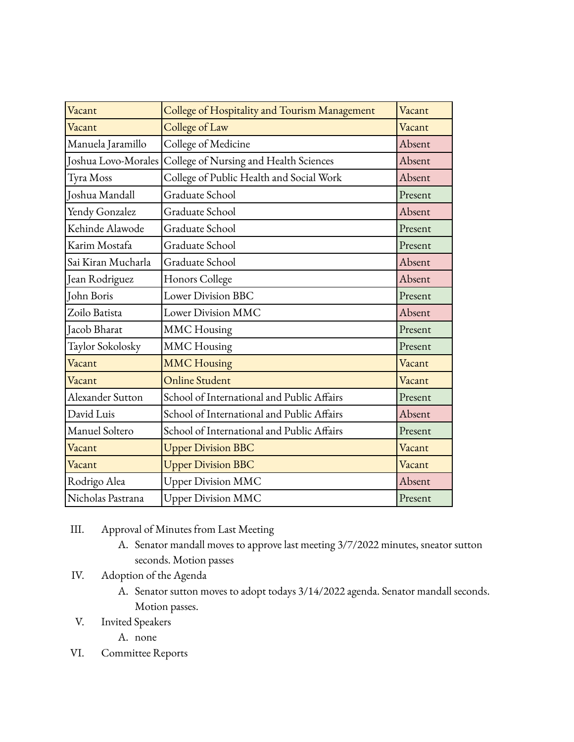| Vacant              | College of Hospitality and Tourism Management | Vacant  |
|---------------------|-----------------------------------------------|---------|
| Vacant              | College of Law                                | Vacant  |
| Manuela Jaramillo   | College of Medicine                           | Absent  |
| Joshua Lovo-Morales | College of Nursing and Health Sciences        | Absent  |
| Tyra Moss           | College of Public Health and Social Work      | Absent  |
| Joshua Mandall      | Graduate School                               | Present |
| Yendy Gonzalez      | Graduate School                               | Absent  |
| Kehinde Alawode     | Graduate School                               | Present |
| Karim Mostafa       | Graduate School                               | Present |
| Sai Kiran Mucharla  | Graduate School                               | Absent  |
| Jean Rodriguez      | Honors College                                | Absent  |
| John Boris          | <b>Lower Division BBC</b>                     | Present |
| Zoilo Batista       | Lower Division MMC                            | Absent  |
| Jacob Bharat        | <b>MMC</b> Housing                            | Present |
| Taylor Sokolosky    | <b>MMC</b> Housing                            | Present |
| Vacant              | <b>MMC Housing</b>                            | Vacant  |
| Vacant              | <b>Online Student</b>                         | Vacant  |
| Alexander Sutton    | School of International and Public Affairs    | Present |
| David Luis          | School of International and Public Affairs    | Absent  |
| Manuel Soltero      | School of International and Public Affairs    | Present |
| Vacant              | <b>Upper Division BBC</b>                     | Vacant  |
| Vacant              | <b>Upper Division BBC</b>                     | Vacant  |
| Rodrigo Alea        | <b>Upper Division MMC</b>                     | Absent  |
| Nicholas Pastrana   | <b>Upper Division MMC</b>                     | Present |

- III. Approval of Minutes from Last Meeting
	- A. Senator mandall moves to approve last meeting 3/7/2022 minutes, sneator sutton seconds. Motion passes
- IV. Adoption of the Agenda
	- A. Senator sutton moves to adopt todays 3/14/2022 agenda. Senator mandall seconds. Motion passes.
- V. Invited Speakers
	- A. none
- VI. Committee Reports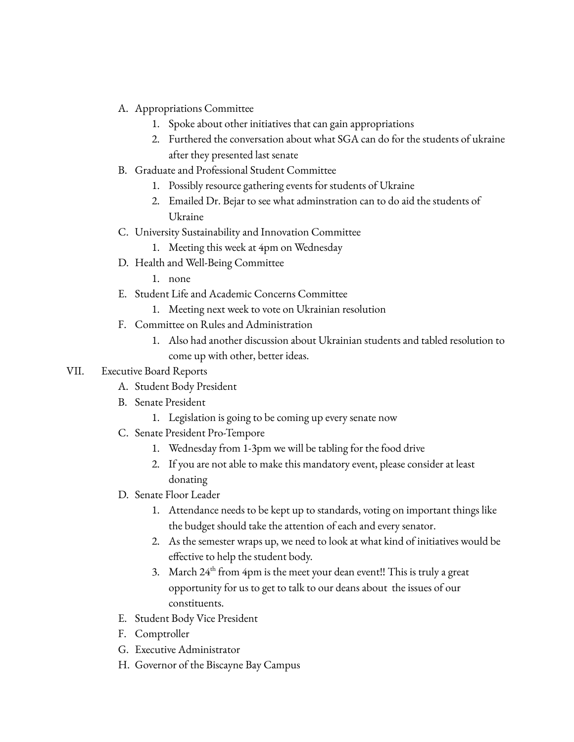- A. Appropriations Committee
	- 1. Spoke about other initiatives that can gain appropriations
	- 2. Furthered the conversation about what SGA can do for the students of ukraine after they presented last senate
- B. Graduate and Professional Student Committee
	- 1. Possibly resource gathering events for students of Ukraine
	- 2. Emailed Dr. Bejar to see what adminstration can to do aid the students of Ukraine
- C. University Sustainability and Innovation Committee
	- 1. Meeting this week at 4pm on Wednesday
- D. Health and Well-Being Committee
	- 1. none
- E. Student Life and Academic Concerns Committee
	- 1. Meeting next week to vote on Ukrainian resolution
- F. Committee on Rules and Administration
	- 1. Also had another discussion about Ukrainian students and tabled resolution to come up with other, better ideas.

## VII. Executive Board Reports

- A. Student Body President
- B. Senate President
	- 1. Legislation is going to be coming up every senate now
- C. Senate President Pro-Tempore
	- 1. Wednesday from 1-3pm we will be tabling for the food drive
	- 2. If you are not able to make this mandatory event, please consider at least donating
- D. Senate Floor Leader
	- 1. Attendance needs to be kept up to standards, voting on important things like the budget should take the attention of each and every senator.
	- 2. As the semester wraps up, we need to look at what kind of initiatives would be effective to help the student body.
	- 3. March  $24<sup>th</sup>$  from 4pm is the meet your dean event!! This is truly a great opportunity for us to get to talk to our deans about the issues of our constituents.
- E. Student Body Vice President
- F. Comptroller
- G. Executive Administrator
- H. Governor of the Biscayne Bay Campus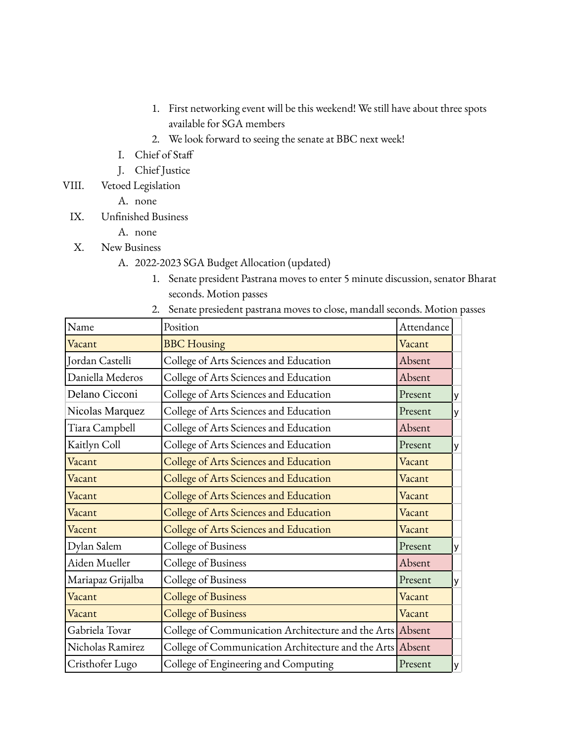- 1. First networking event will be this weekend! We still have about three spots available for SGA members
- 2. We look forward to seeing the senate at BBC next week!
- I. Chief of Staff
- J. Chief Justice
- VIII. Vetoed Legislation
	- A. none
	- IX. Unfinished Business
		- A. none
	- X. New Business
		- A. 2022-2023 SGA Budget Allocation (updated)
			- 1. Senate president Pastrana moves to enter 5 minute discussion, senator Bharat seconds. Motion passes
			- 2. Senate presiedent pastrana moves to close, mandall seconds. Motion passes

| Name              | Position                                                  | Attendance |          |
|-------------------|-----------------------------------------------------------|------------|----------|
| Vacant            | <b>BBC</b> Housing                                        | Vacant     |          |
| Jordan Castelli   | College of Arts Sciences and Education                    | Absent     |          |
| Daniella Mederos  | College of Arts Sciences and Education                    | Absent     |          |
| Delano Cicconi    | College of Arts Sciences and Education                    | Present    | y        |
| Nicolas Marquez   | College of Arts Sciences and Education                    | Present    | $y \mid$ |
| Tiara Campbell    | College of Arts Sciences and Education                    | Absent     |          |
| Kaitlyn Coll      | College of Arts Sciences and Education                    | Present    | $y \mid$ |
| Vacant            | College of Arts Sciences and Education                    | Vacant     |          |
| Vacant            | College of Arts Sciences and Education                    | Vacant     |          |
| Vacant            | College of Arts Sciences and Education                    | Vacant     |          |
| Vacant            | College of Arts Sciences and Education                    | Vacant     |          |
| Vacent            | College of Arts Sciences and Education                    | Vacant     |          |
| Dylan Salem       | College of Business                                       | Present    | $y \mid$ |
| Aiden Mueller     | College of Business                                       | Absent     |          |
| Mariapaz Grijalba | College of Business                                       | Present    | $y \mid$ |
| Vacant            | <b>College of Business</b>                                | Vacant     |          |
| Vacant            | <b>College of Business</b>                                | Vacant     |          |
| Gabriela Tovar    | College of Communication Architecture and the Arts Absent |            |          |
| Nicholas Ramirez  | College of Communication Architecture and the Arts Absent |            |          |
| Cristhofer Lugo   | College of Engineering and Computing                      | Present    | $y \mid$ |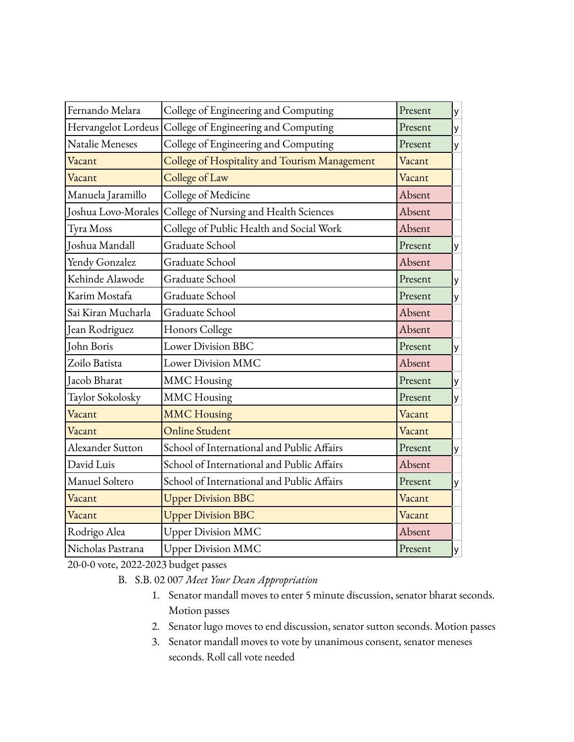| Fernando Melara     | College of Engineering and Computing          | Present | у |
|---------------------|-----------------------------------------------|---------|---|
| Hervangelot Lordeus | College of Engineering and Computing          | Present | y |
| Natalie Meneses     | College of Engineering and Computing          | Present | у |
| Vacant              | College of Hospitality and Tourism Management | Vacant  |   |
| Vacant              | College of Law                                | Vacant  |   |
| Manuela Jaramillo   | College of Medicine                           | Absent  |   |
| Joshua Lovo-Morales | College of Nursing and Health Sciences        | Absent  |   |
| Tyra Moss           | College of Public Health and Social Work      | Absent  |   |
| Joshua Mandall      | Graduate School                               | Present | у |
| Yendy Gonzalez      | Graduate School                               | Absent  |   |
| Kehinde Alawode     | Graduate School                               | Present | у |
| Karim Mostafa       | Graduate School                               | Present | у |
| Sai Kiran Mucharla  | Graduate School                               | Absent  |   |
| Jean Rodriguez      | Honors College                                | Absent  |   |
| John Boris          | <b>Lower Division BBC</b>                     | Present | У |
| Zoilo Batista       | Lower Division MMC                            | Absent  |   |
| Jacob Bharat        | <b>MMC</b> Housing                            | Present | у |
| Taylor Sokolosky    | <b>MMC</b> Housing                            | Present | y |
| Vacant              | <b>MMC</b> Housing                            | Vacant  |   |
| Vacant              | <b>Online Student</b>                         | Vacant  |   |
| Alexander Sutton    | School of International and Public Affairs    | Present | у |
| David Luis          | School of International and Public Affairs    | Absent  |   |
| Manuel Soltero      | School of International and Public Affairs    | Present | У |
| Vacant              | <b>Upper Division BBC</b>                     | Vacant  |   |
| Vacant              | <b>Upper Division BBC</b>                     | Vacant  |   |
| Rodrigo Alea        | <b>Upper Division MMC</b>                     | Absent  |   |
| Nicholas Pastrana   | <b>Upper Division MMC</b>                     | Present | У |

20-0-0 vote, 2022-2023 budget passes

B. S.B. 02 007 *Meet Your Dean Appropriation*

- 1. Senator mandall moves to enter 5 minute discussion, senator bharat seconds. Motion passes
- 2. Senator lugo moves to end discussion, senator sutton seconds. Motion passes
- 3. Senator mandall moves to vote by unanimous consent, senator meneses seconds. Roll call vote needed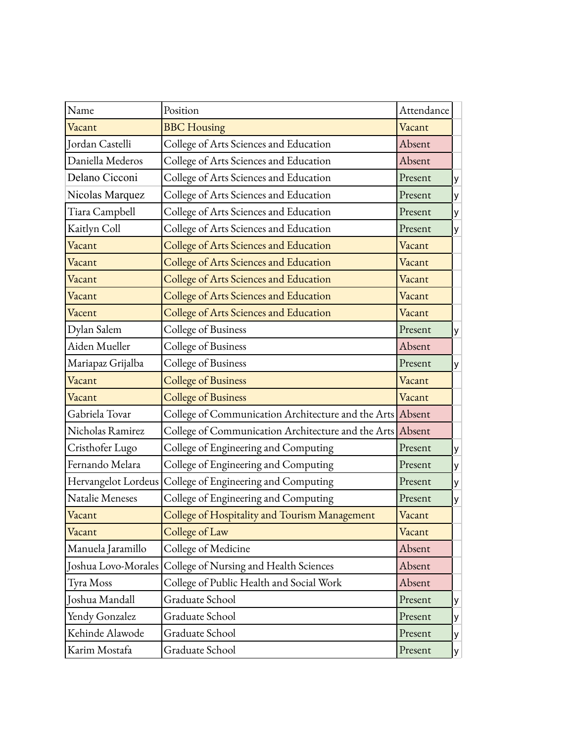| Name                | Position                                                  | Attendance |   |
|---------------------|-----------------------------------------------------------|------------|---|
| Vacant              | <b>BBC</b> Housing                                        | Vacant     |   |
| Jordan Castelli     | College of Arts Sciences and Education                    | Absent     |   |
| Daniella Mederos    | College of Arts Sciences and Education                    | Absent     |   |
| Delano Cicconi      | College of Arts Sciences and Education                    | Present    | y |
| Nicolas Marquez     | College of Arts Sciences and Education                    | Present    | у |
| Tiara Campbell      | College of Arts Sciences and Education                    | Present    | у |
| Kaitlyn Coll        | College of Arts Sciences and Education                    | Present    | y |
| Vacant              | College of Arts Sciences and Education                    | Vacant     |   |
| Vacant              | College of Arts Sciences and Education                    | Vacant     |   |
| Vacant              | College of Arts Sciences and Education                    | Vacant     |   |
| Vacant              | College of Arts Sciences and Education                    | Vacant     |   |
| Vacent              | College of Arts Sciences and Education                    | Vacant     |   |
| Dylan Salem         | College of Business                                       | Present    | y |
| Aiden Mueller       | College of Business                                       | Absent     |   |
| Mariapaz Grijalba   | College of Business                                       | Present    | y |
| Vacant              | <b>College of Business</b>                                | Vacant     |   |
| Vacant              | <b>College of Business</b>                                | Vacant     |   |
| Gabriela Tovar      | College of Communication Architecture and the Arts Absent |            |   |
| Nicholas Ramirez    | College of Communication Architecture and the Arts        | Absent     |   |
| Cristhofer Lugo     | College of Engineering and Computing                      | Present    | y |
| Fernando Melara     | College of Engineering and Computing                      | Present    | у |
| Hervangelot Lordeus | College of Engineering and Computing                      | Present    | y |
| Natalie Meneses     | College of Engineering and Computing                      | Present    | У |
| Vacant              | College of Hospitality and Tourism Management             | Vacant     |   |
| Vacant              | College of Law                                            | Vacant     |   |
| Manuela Jaramillo   | College of Medicine                                       | Absent     |   |
| Joshua Lovo-Morales | College of Nursing and Health Sciences                    | Absent     |   |
| Tyra Moss           | College of Public Health and Social Work                  | Absent     |   |
| Joshua Mandall      | Graduate School                                           | Present    | y |
| Yendy Gonzalez      | Graduate School                                           | Present    | У |
| Kehinde Alawode     | Graduate School                                           | Present    | y |
| Karim Mostafa       | Graduate School                                           | Present    | y |